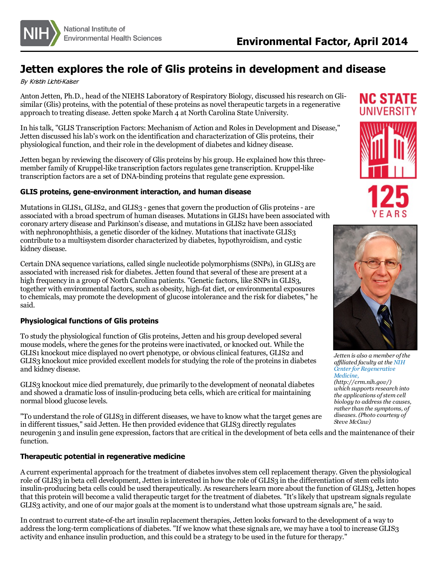

# **Jetten explores the role of Glis proteins in development and disease**

#### By Kristin Lichti-Kaiser

Anton Jetten, Ph.D., head of the NIEHS Laboratory of Respiratory Biology, discussed hisresearch on Glisimilar (Glis) proteins, with the potential of these proteins as novel therapeutic targetsin a regenerative approach to treating disease. Jetten spoke March 4 at North Carolina State University.

In histalk, "GLIS Transcription Factors: Mechanism of Action and Rolesin Development and Disease," Jetten discussed hislab's work on the identification and characterization of Glis proteins, their physiological function, and their role in the development of diabetes and kidney disease.

Jetten began by reviewing the discovery of Glis proteins by his group. He explained how thisthree- member family of Kruppel-like transcription factorsregulates gene transcription. Kruppel-like transcription factors are a set of DNA-binding proteinsthat regulate gene expression.

### **GLIS proteins, gene-environment interaction, and human disease**

Mutations in GLIS1, GLIS2, and GLIS3 - genes that govern the production of Glis proteins - are associated with a broad spectrum of human diseases. Mutationsin GLIS1 have been associated with coronary artery disease and Parkinson's disease, and mutationsin GLIS2 have been associated with nephronophthisis, a genetic disorder of the kidney. Mutations that inactivate GLIS3 contribute to a multisystem disorder characterized by diabetes, hypothyroidism, and cystic kidney disease.

Certain DNA sequence variations, called single nucleotide polymorphisms(SNPs), in GLIS3 are associated with increased risk for diabetes. Jetten found that several of these are present at a high frequency in a group of North Carolina patients. "Genetic factors, like SNPs in GLIS3, together with environmental factors, such as obesity, high-fat diet, or environmental exposures to chemicals, may promote the development of glucose intolerance and the risk for diabetes," he said.

## **Physiological functions of Glis proteins**

To study the physiological function of Glis proteins, Jetten and his group developed several mouse models, where the genesfor the proteins were inactivated, or knocked out. While the GLIS1 knockout mice displayed no overt phenotype, or obviousclinical features, GLIS2 and GLIS3 knockout mice provided excellent models for studying the role of the proteins in diabetes and kidney disease.

GLIS3 knockout mice died prematurely, due primarily to the development of neonatal diabetes and showed a dramatic loss of insulin-producing beta cells, which are critical for maintaining normal blood glucose levels.

"To understand the role of GLIS3 in different diseases, we have to know what the target genes are in different tissues," said Jetten. He then provided evidence that GLIS3 directly regulates neurogenin 3 and insulin gene expression, factors that are critical in the development of beta cells and the maintenance of their

function.

#### **Therapeutic potential in regenerative medicine**

A current experimental approach for the treatment of diabetesinvolvesstem cell replacement therapy. Given the physiological role of GLIS3 in beta cell development, Jetten is interested in how the role of GLIS3 in the differentiation of stem cells into insulin-producing beta cells could be used therapeutically. As researchers learn more about the function of GLIS3, Jetten hopes that this protein will become a valid therapeutic target for the treatment of diabetes. "It's likely that upstream signals regulate GLIS3 activity, and one of our major goals at the moment is to understand what those upstream signals are," he said.

In contrast to current state-of-the art insulin replacement therapies, Jetten looks forward to the development of a way to address the long-term complications of diabetes. "If we know what these signals are, we may have a tool to increase GLIS3 activity and enhance insulin production, and thiscould be a strategy to be used in the future for therapy."





*Jetten is also a member ofthe af iliated faculty at the NIH Center for [Regenerative](http://crm.nih.gov/) Medicine, (http://crm.nih.gov/)*

*which supports research into the applications ofstem cell biology to addressthe causes, rather than the symptoms, of diseases. (Photo courtesy of Steve McCaw)*